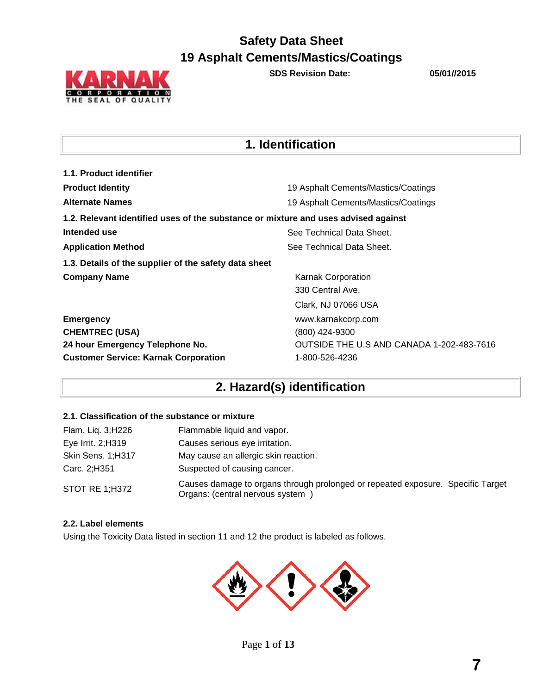

**SDS Revision Date: 05/01//2015**

## **1. Identification**

| 1.1. Product identifier                                                            |                                           |  |  |
|------------------------------------------------------------------------------------|-------------------------------------------|--|--|
| <b>Product Identity</b>                                                            | 19 Asphalt Cements/Mastics/Coatings       |  |  |
| <b>Alternate Names</b>                                                             | 19 Asphalt Cements/Mastics/Coatings       |  |  |
| 1.2. Relevant identified uses of the substance or mixture and uses advised against |                                           |  |  |
| Intended use                                                                       | See Technical Data Sheet.                 |  |  |
| <b>Application Method</b>                                                          | See Technical Data Sheet.                 |  |  |
| 1.3. Details of the supplier of the safety data sheet                              |                                           |  |  |
| <b>Company Name</b>                                                                | Karnak Corporation                        |  |  |
|                                                                                    | 330 Central Ave.                          |  |  |
|                                                                                    | Clark, NJ 07066 USA                       |  |  |
| <b>Emergency</b>                                                                   | www.karnakcorp.com                        |  |  |
| <b>CHEMTREC (USA)</b>                                                              | (800) 424-9300                            |  |  |
| 24 hour Emergency Telephone No.                                                    | OUTSIDE THE U.S AND CANADA 1-202-483-7616 |  |  |
| <b>Customer Service: Karnak Corporation</b>                                        | 1-800-526-4236                            |  |  |

# **2. Hazard(s) identification**

### **2.1. Classification of the substance or mixture**

| Flam. Liq. 3;H226     | Flammable liquid and vapor.                                                                                        |
|-----------------------|--------------------------------------------------------------------------------------------------------------------|
| Eye Irrit. 2;H319     | Causes serious eye irritation.                                                                                     |
| Skin Sens. 1;H317     | May cause an allergic skin reaction.                                                                               |
| Carc. 2;H351          | Suspected of causing cancer.                                                                                       |
| <b>STOT RE 1;H372</b> | Causes damage to organs through prolonged or repeated exposure. Specific Target<br>Organs: (central nervous system |

### **2.2. Label elements**

Using the Toxicity Data listed in section 11 and 12 the product is labeled as follows.

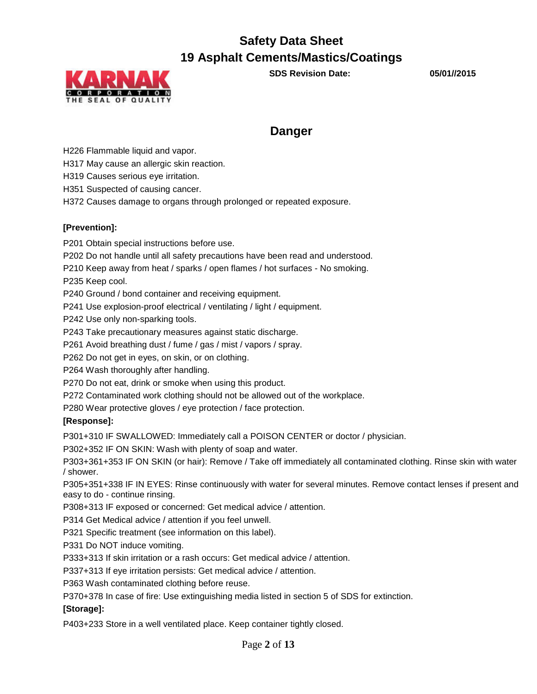

**SDS Revision Date: 05/01//2015**

### **Danger**

H226 Flammable liquid and vapor.

H317 May cause an allergic skin reaction.

H319 Causes serious eye irritation.

H351 Suspected of causing cancer.

H372 Causes damage to organs through prolonged or repeated exposure.

### **[Prevention]:**

P201 Obtain special instructions before use.

P202 Do not handle until all safety precautions have been read and understood.

P210 Keep away from heat / sparks / open flames / hot surfaces - No smoking.

P235 Keep cool.

P240 Ground / bond container and receiving equipment.

P241 Use explosion-proof electrical / ventilating / light / equipment.

P242 Use only non-sparking tools.

P243 Take precautionary measures against static discharge.

P261 Avoid breathing dust / fume / gas / mist / vapors / spray.

P262 Do not get in eyes, on skin, or on clothing.

P264 Wash thoroughly after handling.

P270 Do not eat, drink or smoke when using this product.

P272 Contaminated work clothing should not be allowed out of the workplace.

P280 Wear protective gloves / eye protection / face protection.

### **[Response]:**

P301+310 IF SWALLOWED: Immediately call a POISON CENTER or doctor / physician.

P302+352 IF ON SKIN: Wash with plenty of soap and water.

P303+361+353 IF ON SKIN (or hair): Remove / Take off immediately all contaminated clothing. Rinse skin with water / shower.

P305+351+338 IF IN EYES: Rinse continuously with water for several minutes. Remove contact lenses if present and easy to do - continue rinsing.

P308+313 IF exposed or concerned: Get medical advice / attention.

P314 Get Medical advice / attention if you feel unwell.

P321 Specific treatment (see information on this label).

P331 Do NOT induce vomiting.

P333+313 If skin irritation or a rash occurs: Get medical advice / attention.

P337+313 If eye irritation persists: Get medical advice / attention.

P363 Wash contaminated clothing before reuse.

P370+378 In case of fire: Use extinguishing media listed in section 5 of SDS for extinction.

### **[Storage]:**

P403+233 Store in a well ventilated place. Keep container tightly closed.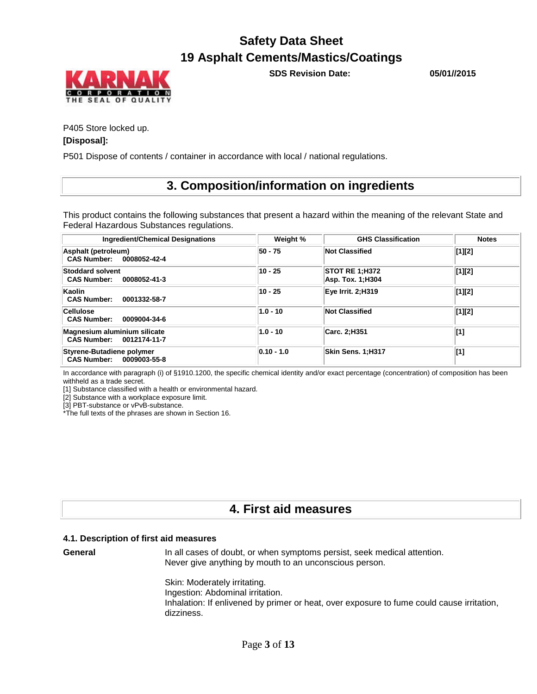

**SDS Revision Date: 05/01//2015**

P405 Store locked up.

### **[Disposal]:**

P501 Dispose of contents / container in accordance with local / national regulations.

### **3. Composition/information on ingredients**

This product contains the following substances that present a hazard within the meaning of the relevant State and Federal Hazardous Substances regulations.

| <b>Ingredient/Chemical Designations</b>                       | Weight %       | <b>GHS Classification</b>                 | <b>Notes</b>                   |
|---------------------------------------------------------------|----------------|-------------------------------------------|--------------------------------|
| Asphalt (petroleum)<br>CAS Number: 0008052-42-4               | 50 - 75        | <b>Not Classified</b>                     | $\vert [1]\vert [2]$           |
| <b>Stoddard solvent</b><br><b>CAS Number:</b><br>0008052-41-3 | 10 - 25        | <b>STOT RE 1:H372</b><br>Asp. Tox. 1;H304 | $\left[1\right]\left[2\right]$ |
| Kaolin<br><b>CAS Number:</b><br>0001332-58-7                  | 10 - 25        | Eye Irrit. 2;H319                         | $\vert [1]\vert [2]$           |
| <b>Cellulose</b><br>0009004-34-6<br><b>CAS Number:</b>        | $1.0 - 10$     | <b>Not Classified</b>                     | $\vert [1]\vert [2]$           |
| Magnesium aluminium silicate<br>CAS Number: 0012174-11-7      | $1.0 - 10$     | Carc. 2;H351                              | [1]                            |
| Styrene-Butadiene polymer<br>CAS Number: 0009003-55-8         | $ 0.10 - 1.0 $ | <b>Skin Sens. 1:H317</b>                  | [1]                            |

In accordance with paragraph (i) of §1910.1200, the specific chemical identity and/or exact percentage (concentration) of composition has been withheld as a trade secret.

[1] Substance classified with a health or environmental hazard.

[2] Substance with a workplace exposure limit.

[3] PBT-substance or vPvB-substance.

\*The full texts of the phrases are shown in Section 16.

### **4. First aid measures**

#### **4.1. Description of first aid measures**

**General** In all cases of doubt, or when symptoms persist, seek medical attention. Never give anything by mouth to an unconscious person.

Skin: Moderately irritating.

Ingestion: Abdominal irritation. Inhalation: If enlivened by primer or heat, over exposure to fume could cause irritation, dizziness.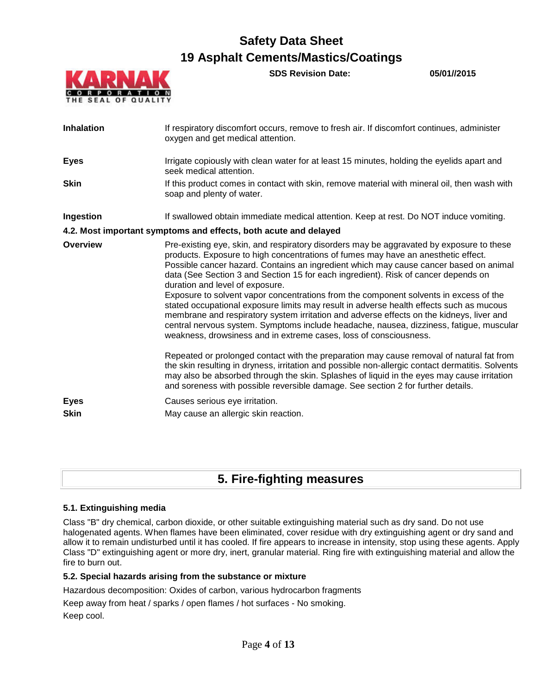

**SDS Revision Date: 05/01//2015**

| <b>Inhalation</b>          | If respiratory discomfort occurs, remove to fresh air. If discomfort continues, administer<br>oxygen and get medical attention.                                                                                                                                                                                                                                                                                                                                                                                                                                                                                                                                                                                                                                                                                                                 |
|----------------------------|-------------------------------------------------------------------------------------------------------------------------------------------------------------------------------------------------------------------------------------------------------------------------------------------------------------------------------------------------------------------------------------------------------------------------------------------------------------------------------------------------------------------------------------------------------------------------------------------------------------------------------------------------------------------------------------------------------------------------------------------------------------------------------------------------------------------------------------------------|
| <b>Eyes</b>                | Irrigate copiously with clean water for at least 15 minutes, holding the eyelids apart and<br>seek medical attention.                                                                                                                                                                                                                                                                                                                                                                                                                                                                                                                                                                                                                                                                                                                           |
| <b>Skin</b>                | If this product comes in contact with skin, remove material with mineral oil, then wash with<br>soap and plenty of water.                                                                                                                                                                                                                                                                                                                                                                                                                                                                                                                                                                                                                                                                                                                       |
| <b>Ingestion</b>           | If swallowed obtain immediate medical attention. Keep at rest. Do NOT induce vomiting.                                                                                                                                                                                                                                                                                                                                                                                                                                                                                                                                                                                                                                                                                                                                                          |
|                            | 4.2. Most important symptoms and effects, both acute and delayed                                                                                                                                                                                                                                                                                                                                                                                                                                                                                                                                                                                                                                                                                                                                                                                |
| <b>Overview</b>            | Pre-existing eye, skin, and respiratory disorders may be aggravated by exposure to these<br>products. Exposure to high concentrations of fumes may have an anesthetic effect.<br>Possible cancer hazard. Contains an ingredient which may cause cancer based on animal<br>data (See Section 3 and Section 15 for each ingredient). Risk of cancer depends on<br>duration and level of exposure.<br>Exposure to solvent vapor concentrations from the component solvents in excess of the<br>stated occupational exposure limits may result in adverse health effects such as mucous<br>membrane and respiratory system irritation and adverse effects on the kidneys, liver and<br>central nervous system. Symptoms include headache, nausea, dizziness, fatigue, muscular<br>weakness, drowsiness and in extreme cases, loss of consciousness. |
|                            | Repeated or prolonged contact with the preparation may cause removal of natural fat from<br>the skin resulting in dryness, irritation and possible non-allergic contact dermatitis. Solvents<br>may also be absorbed through the skin. Splashes of liquid in the eyes may cause irritation<br>and soreness with possible reversible damage. See section 2 for further details.                                                                                                                                                                                                                                                                                                                                                                                                                                                                  |
| <b>Eyes</b><br><b>Skin</b> | Causes serious eye irritation.<br>May cause an allergic skin reaction.                                                                                                                                                                                                                                                                                                                                                                                                                                                                                                                                                                                                                                                                                                                                                                          |

### **5. Fire-fighting measures**

### **5.1. Extinguishing media**

Class "B" dry chemical, carbon dioxide, or other suitable extinguishing material such as dry sand. Do not use halogenated agents. When flames have been eliminated, cover residue with dry extinguishing agent or dry sand and allow it to remain undisturbed until it has cooled. If fire appears to increase in intensity, stop using these agents. Apply Class "D" extinguishing agent or more dry, inert, granular material. Ring fire with extinguishing material and allow the fire to burn out.

### **5.2. Special hazards arising from the substance or mixture**

Hazardous decomposition: Oxides of carbon, various hydrocarbon fragments

Keep away from heat / sparks / open flames / hot surfaces - No smoking.

Keep cool.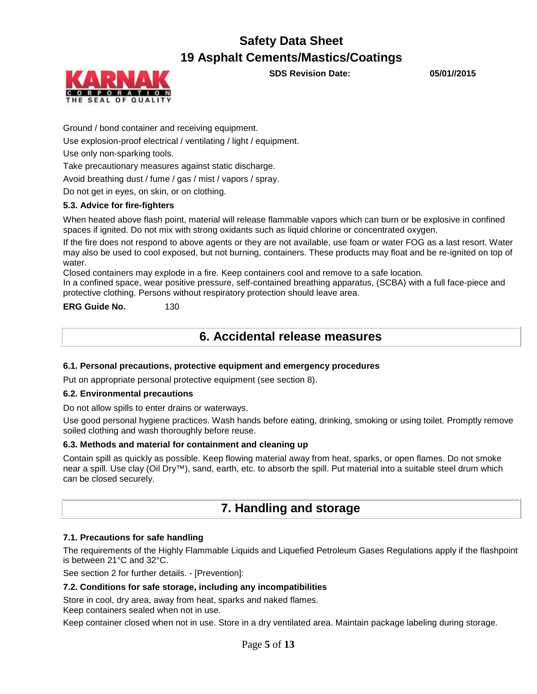

**SDS Revision Date: 05/01//2015**

Ground / bond container and receiving equipment.

Use explosion-proof electrical / ventilating / light / equipment.

Use only non-sparking tools.

Take precautionary measures against static discharge.

Avoid breathing dust / fume / gas / mist / vapors / spray.

Do not get in eyes, on skin, or on clothing.

### **5.3. Advice for fire-fighters**

When heated above flash point, material will release flammable vapors which can burn or be explosive in confined spaces if ignited. Do not mix with strong oxidants such as liquid chlorine or concentrated oxygen.

If the fire does not respond to above agents or they are not available, use foam or water FOG as a last resort. Water may also be used to cool exposed, but not burning, containers. These products may float and be re-ignited on top of water.

Closed containers may explode in a fire. Keep containers cool and remove to a safe location.

In a confined space, wear positive pressure, self-contained breathing apparatus, (SCBA) with a full face-piece and protective clothing. Persons without respiratory protection should leave area.

**ERG Guide No.** 130

### **6. Accidental release measures**

### **6.1. Personal precautions, protective equipment and emergency procedures**

Put on appropriate personal protective equipment (see section 8).

### **6.2. Environmental precautions**

Do not allow spills to enter drains or waterways.

Use good personal hygiene practices. Wash hands before eating, drinking, smoking or using toilet. Promptly remove soiled clothing and wash thoroughly before reuse.

### **6.3. Methods and material for containment and cleaning up**

Contain spill as quickly as possible. Keep flowing material away from heat, sparks, or open flames. Do not smoke near a spill. Use clay (Oil Dry™), sand, earth, etc. to absorb the spill. Put material into a suitable steel drum which can be closed securely.

### **7. Handling and storage**

### **7.1. Precautions for safe handling**

The requirements of the Highly Flammable Liquids and Liquefied Petroleum Gases Regulations apply if the flashpoint is between 21°C and 32°C.

See section 2 for further details. - [Prevention]:

### **7.2. Conditions for safe storage, including any incompatibilities**

Store in cool, dry area, away from heat, sparks and naked flames.

Keep containers sealed when not in use.

Keep container closed when not in use. Store in a dry ventilated area. Maintain package labeling during storage.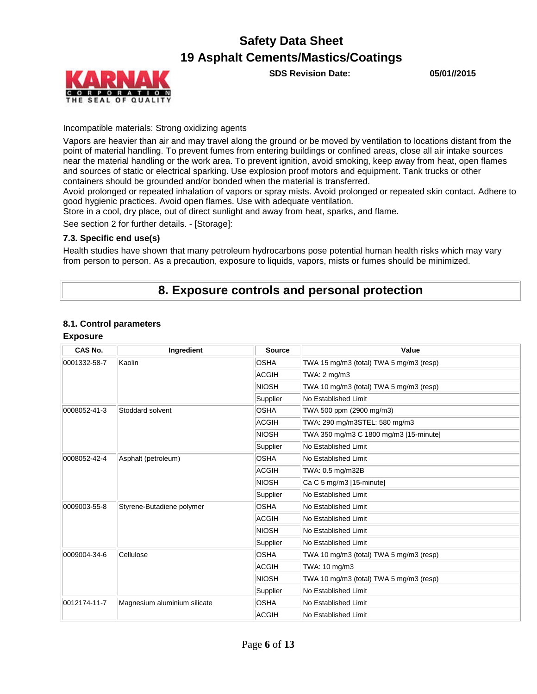



### Incompatible materials: Strong oxidizing agents

Vapors are heavier than air and may travel along the ground or be moved by ventilation to locations distant from the point of material handling. To prevent fumes from entering buildings or confined areas, close all air intake sources near the material handling or the work area. To prevent ignition, avoid smoking, keep away from heat, open flames and sources of static or electrical sparking. Use explosion proof motors and equipment. Tank trucks or other containers should be grounded and/or bonded when the material is transferred.

Avoid prolonged or repeated inhalation of vapors or spray mists. Avoid prolonged or repeated skin contact. Adhere to good hygienic practices. Avoid open flames. Use with adequate ventilation.

Store in a cool, dry place, out of direct sunlight and away from heat, sparks, and flame.

See section 2 for further details. - [Storage]:

### **7.3. Specific end use(s)**

Health studies have shown that many petroleum hydrocarbons pose potential human health risks which may vary from person to person. As a precaution, exposure to liquids, vapors, mists or fumes should be minimized.

### **8. Exposure controls and personal protection**

### **8.1. Control parameters**

### **Exposure**

| CAS No.                                   | Ingredient                   | <b>Source</b>        | Value                                   |
|-------------------------------------------|------------------------------|----------------------|-----------------------------------------|
| 0001332-58-7                              | Kaolin                       | <b>OSHA</b>          | TWA 15 mg/m3 (total) TWA 5 mg/m3 (resp) |
|                                           |                              | <b>ACGIH</b>         | TWA: 2 mg/m3                            |
|                                           |                              | <b>NIOSH</b>         | TWA 10 mg/m3 (total) TWA 5 mg/m3 (resp) |
|                                           |                              | Supplier             | No Established Limit                    |
| 0008052-41-3                              | Stoddard solvent             | <b>OSHA</b>          | TWA 500 ppm (2900 mg/m3)                |
|                                           |                              | <b>ACGIH</b>         | TWA: 290 mg/m3STEL: 580 mg/m3           |
|                                           |                              | <b>NIOSH</b>         | TWA 350 mg/m3 C 1800 mg/m3 [15-minute]  |
|                                           |                              | Supplier             | No Established Limit                    |
| 0008052-42-4                              | Asphalt (petroleum)          | <b>OSHA</b>          | No Established Limit                    |
|                                           |                              | <b>ACGIH</b>         | TWA: 0.5 mg/m32B                        |
|                                           |                              | <b>NIOSH</b>         | $Ca C 5 mg/m3 [15-minute]$              |
|                                           | Supplier                     | No Established Limit |                                         |
| Styrene-Butadiene polymer<br>0009003-55-8 | <b>OSHA</b>                  | No Established Limit |                                         |
|                                           |                              | <b>ACGIH</b>         | No Established Limit                    |
|                                           |                              | <b>NIOSH</b>         | No Established Limit                    |
|                                           |                              | Supplier             | No Established Limit                    |
| 0009004-34-6                              | Cellulose                    | <b>OSHA</b>          | TWA 10 mg/m3 (total) TWA 5 mg/m3 (resp) |
|                                           |                              | <b>ACGIH</b>         | TWA: 10 mg/m3                           |
|                                           |                              | NIOSH                | TWA 10 mg/m3 (total) TWA 5 mg/m3 (resp) |
|                                           |                              | Supplier             | No Established Limit                    |
| 0012174-11-7                              | Magnesium aluminium silicate | <b>OSHA</b>          | No Established Limit                    |
|                                           |                              | <b>ACGIH</b>         | No Established Limit                    |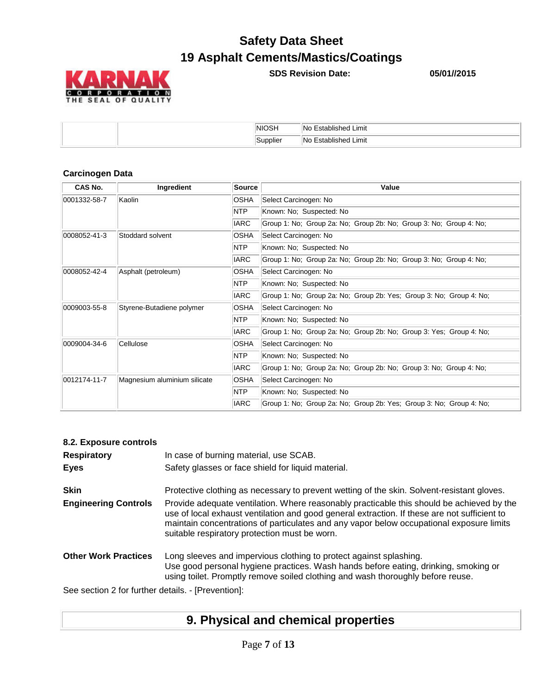

**SDS Revision Date: 05/01//2015**

| $\sim$<br>NH<br>____ | Limit<br>ے ا                        |
|----------------------|-------------------------------------|
| Sunnliai<br>oupplich | Limit<br>.<br>۱Nc<br>avisneg<br>ے ت |

### **Carcinogen Data**

| CAS No.      | Ingredient                                                                         | <b>Source</b> | Value                                                               |  |  |
|--------------|------------------------------------------------------------------------------------|---------------|---------------------------------------------------------------------|--|--|
| 0001332-58-7 | Kaolin                                                                             | <b>OSHA</b>   | Select Carcinogen: No                                               |  |  |
|              |                                                                                    | <b>NTP</b>    | Known: No; Suspected: No                                            |  |  |
|              |                                                                                    | <b>IARC</b>   | Group 1: No; Group 2a: No; Group 2b: No; Group 3: No; Group 4: No;  |  |  |
| 0008052-41-3 | Stoddard solvent                                                                   | <b>OSHA</b>   | Select Carcinogen: No                                               |  |  |
|              |                                                                                    | NTP           | Known: No; Suspected: No                                            |  |  |
|              |                                                                                    | <b>IARC</b>   | Group 1: No; Group 2a: No; Group 2b: No; Group 3: No; Group 4: No;  |  |  |
| 0008052-42-4 | Asphalt (petroleum)                                                                | <b>OSHA</b>   | Select Carcinogen: No                                               |  |  |
|              |                                                                                    | <b>NTP</b>    | Known: No; Suspected: No                                            |  |  |
| <b>IARC</b>  |                                                                                    |               | Group 1: No; Group 2a: No; Group 2b: Yes; Group 3: No; Group 4: No; |  |  |
| 0009003-55-8 | OSHA<br>Select Carcinogen: No<br>Styrene-Butadiene polymer                         |               |                                                                     |  |  |
|              |                                                                                    | <b>NTP</b>    | Known: No; Suspected: No                                            |  |  |
| <b>IARC</b>  |                                                                                    |               | Group 1: No; Group 2a: No; Group 2b: No; Group 3: Yes; Group 4: No; |  |  |
| 0009004-34-6 | Cellulose                                                                          | <b>OSHA</b>   | Select Carcinogen: No                                               |  |  |
|              |                                                                                    | NTP           | Known: No; Suspected: No                                            |  |  |
|              |                                                                                    | <b>IARC</b>   | Group 1: No; Group 2a: No; Group 2b: No; Group 3: No; Group 4: No;  |  |  |
| 0012174-11-7 | Magnesium aluminium silicate                                                       | <b>OSHA</b>   | Select Carcinogen: No                                               |  |  |
|              |                                                                                    | NTP           | Known: No; Suspected: No                                            |  |  |
|              | <b>IARC</b><br>Group 1: No; Group 2a: No; Group 2b: Yes; Group 3: No; Group 4: No; |               |                                                                     |  |  |

| 8.2. Exposure controls                             |                                                                                                                                                                                                                                                                                                                                        |
|----------------------------------------------------|----------------------------------------------------------------------------------------------------------------------------------------------------------------------------------------------------------------------------------------------------------------------------------------------------------------------------------------|
| <b>Respiratory</b>                                 | In case of burning material, use SCAB.                                                                                                                                                                                                                                                                                                 |
| <b>Eyes</b>                                        | Safety glasses or face shield for liquid material.                                                                                                                                                                                                                                                                                     |
| <b>Skin</b>                                        | Protective clothing as necessary to prevent wetting of the skin. Solvent-resistant gloves.                                                                                                                                                                                                                                             |
| <b>Engineering Controls</b>                        | Provide adequate ventilation. Where reasonably practicable this should be achieved by the<br>use of local exhaust ventilation and good general extraction. If these are not sufficient to<br>maintain concentrations of particulates and any vapor below occupational exposure limits<br>suitable respiratory protection must be worn. |
| <b>Other Work Practices</b>                        | Long sleeves and impervious clothing to protect against splashing.<br>Use good personal hygiene practices. Wash hands before eating, drinking, smoking or<br>using toilet. Promptly remove soiled clothing and wash thoroughly before reuse.                                                                                           |
| See section 2 for further details. - [Prevention]: |                                                                                                                                                                                                                                                                                                                                        |

# **9. Physical and chemical properties**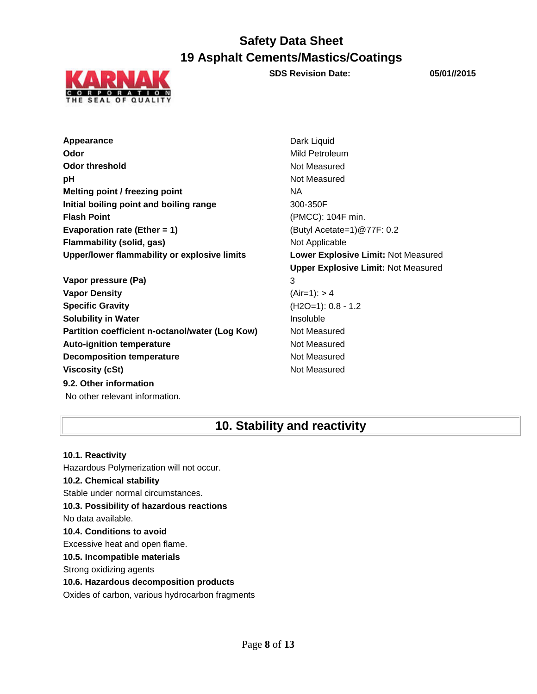

**SDS Revision Date: 05/01//2015**

**Appearance** Dark Liquid **Odor** Mild Petroleum **Odor threshold** Not Measured **pH** Not Measured **Melting point / freezing point**  NA **Initial boiling point and boiling range** 300-350F **Flash Point** (PMCC): 104F min. **Evaporation rate (Ether = 1)** (Butyl Acetate=1)@77F: 0.2 **Flammability (solid, gas)** Not Applicable **Upper/lower flammability or explosive limits Lower Explosive Limit:** Not Measured

**Vapor pressure (Pa)** 3 **Vapor Density** (Air=1): > 4 **Specific Gravity** (H2O=1): 0.8 - 1.2 **Solubility in Water Insoluble** Insoluble **Partition coefficient n-octanol/water (Log Kow)** Not Measured Auto-ignition temperature **Not Measured** Not Measured **Decomposition temperature** Not Measured **Viscosity (cSt)** Not Measured **9.2. Other information** No other relevant information.

**Upper Explosive Limit:** Not Measured

### **10. Stability and reactivity**

**10.1. Reactivity** Hazardous Polymerization will not occur. **10.2. Chemical stability** Stable under normal circumstances. **10.3. Possibility of hazardous reactions** No data available. **10.4. Conditions to avoid** Excessive heat and open flame. **10.5. Incompatible materials** Strong oxidizing agents **10.6. Hazardous decomposition products**

Oxides of carbon, various hydrocarbon fragments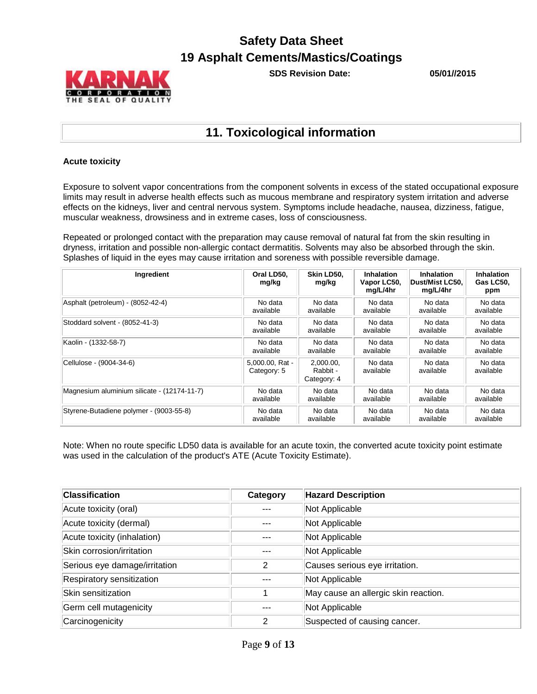

**SDS Revision Date: 05/01//2015**

### **11. Toxicological information**

### **Acute toxicity**

Exposure to solvent vapor concentrations from the component solvents in excess of the stated occupational exposure limits may result in adverse health effects such as mucous membrane and respiratory system irritation and adverse effects on the kidneys, liver and central nervous system. Symptoms include headache, nausea, dizziness, fatigue, muscular weakness, drowsiness and in extreme cases, loss of consciousness.

Repeated or prolonged contact with the preparation may cause removal of natural fat from the skin resulting in dryness, irritation and possible non-allergic contact dermatitis. Solvents may also be absorbed through the skin. Splashes of liquid in the eyes may cause irritation and soreness with possible reversible damage.

| Ingredient                                  | Oral LD50,<br>mg/kg            | Skin LD50.<br>mg/kg                  | <b>Inhalation</b><br>Vapor LC50,<br>mg/L/4hr | <b>Inhalation</b><br>Dust/Mist LC50.<br>mg/L/4hr | <b>Inhalation</b><br>Gas LC50,<br>ppm |
|---------------------------------------------|--------------------------------|--------------------------------------|----------------------------------------------|--------------------------------------------------|---------------------------------------|
| Asphalt (petroleum) - (8052-42-4)           | No data                        | No data                              | No data                                      | No data                                          | No data                               |
|                                             | available                      | available                            | available                                    | available                                        | available                             |
| Stoddard solvent - (8052-41-3)              | No data                        | No data                              | No data                                      | No data                                          | No data                               |
|                                             | available                      | available                            | available                                    | available                                        | available                             |
| Kaolin - (1332-58-7)                        | No data                        | No data                              | No data                                      | No data                                          | No data                               |
|                                             | available                      | available                            | available                                    | available                                        | available                             |
| Cellulose - (9004-34-6)                     | 5,000.00, Rat -<br>Category: 5 | 2.000.00.<br>Rabbit -<br>Category: 4 | No data<br>available                         | No data<br>available                             | No data<br>available                  |
| Magnesium aluminium silicate - (12174-11-7) | No data                        | No data                              | No data                                      | No data                                          | No data                               |
|                                             | available                      | available                            | available                                    | available                                        | available                             |
| Styrene-Butadiene polymer - (9003-55-8)     | No data                        | No data                              | No data                                      | No data                                          | No data                               |
|                                             | available                      | available                            | available                                    | available                                        | available                             |

Note: When no route specific LD50 data is available for an acute toxin, the converted acute toxicity point estimate was used in the calculation of the product's ATE (Acute Toxicity Estimate).

| <b>Classification</b>         | Category | <b>Hazard Description</b>            |
|-------------------------------|----------|--------------------------------------|
| Acute toxicity (oral)         |          | Not Applicable                       |
| Acute toxicity (dermal)       |          | Not Applicable                       |
| Acute toxicity (inhalation)   |          | Not Applicable                       |
| Skin corrosion/irritation     |          | Not Applicable                       |
| Serious eye damage/irritation | 2        | Causes serious eye irritation.       |
| Respiratory sensitization     |          | Not Applicable                       |
| Skin sensitization            |          | May cause an allergic skin reaction. |
| Germ cell mutagenicity        |          | Not Applicable                       |
| Carcinogenicity               | 2        | Suspected of causing cancer.         |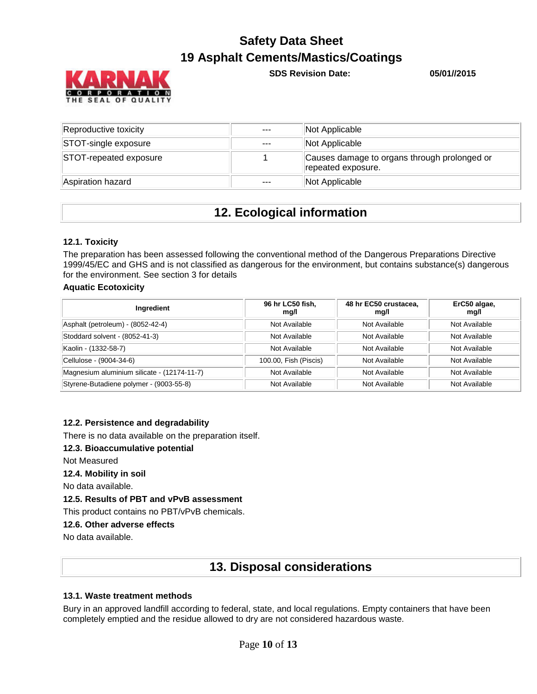

**SDS Revision Date: 05/01//2015**

| Reproductive toxicity  | $- - -$ | Not Applicable                                                     |
|------------------------|---------|--------------------------------------------------------------------|
| STOT-single exposure   | $---$   | Not Applicable                                                     |
| STOT-repeated exposure |         | Causes damage to organs through prolonged or<br>repeated exposure. |
| Aspiration hazard      | ---     | Not Applicable                                                     |

### **12. Ecological information**

### **12.1. Toxicity**

The preparation has been assessed following the conventional method of the Dangerous Preparations Directive 1999/45/EC and GHS and is not classified as dangerous for the environment, but contains substance(s) dangerous for the environment. See section 3 for details

### **Aquatic Ecotoxicity**

| Ingredient                                  | 96 hr LC50 fish,<br>mg/l | 48 hr EC50 crustacea,<br>mg/l | ErC50 algae,<br>mg/l |
|---------------------------------------------|--------------------------|-------------------------------|----------------------|
| Asphalt (petroleum) - (8052-42-4)           | Not Available            | Not Available                 | Not Available        |
| Stoddard solvent - (8052-41-3)              | Not Available            | Not Available                 | Not Available        |
| Kaolin - (1332-58-7)                        | Not Available            | Not Available                 | Not Available        |
| Cellulose - (9004-34-6)                     | 100.00, Fish (Piscis)    | Not Available                 | Not Available        |
| Magnesium aluminium silicate - (12174-11-7) | Not Available            | Not Available                 | Not Available        |
| Styrene-Butadiene polymer - (9003-55-8)     | Not Available            | Not Available                 | Not Available        |

#### **12.2. Persistence and degradability**

There is no data available on the preparation itself.

#### **12.3. Bioaccumulative potential**

Not Measured

#### **12.4. Mobility in soil**

No data available.

### **12.5. Results of PBT and vPvB assessment**

This product contains no PBT/vPvB chemicals.

#### **12.6. Other adverse effects**

No data available.

### **13. Disposal considerations**

### **13.1. Waste treatment methods**

Bury in an approved landfill according to federal, state, and local regulations. Empty containers that have been completely emptied and the residue allowed to dry are not considered hazardous waste.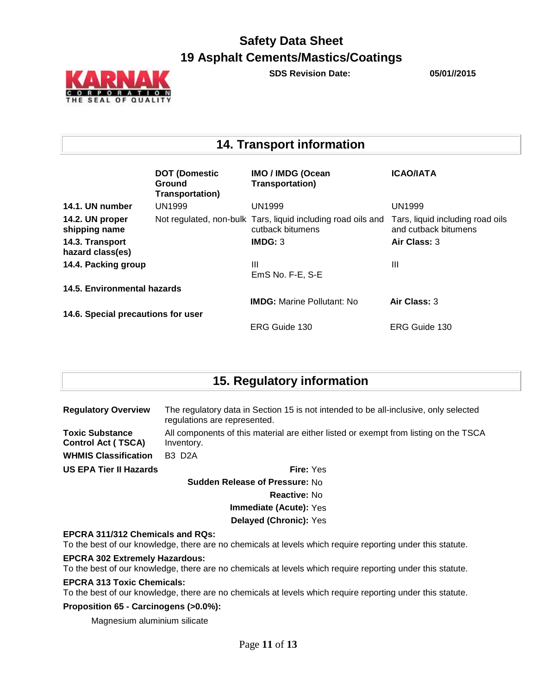

**SDS Revision Date: 05/01//2015**

### **14. Transport information**

|                                     | <b>DOT (Domestic</b><br>Ground<br><b>Transportation)</b> | <b>IMO / IMDG (Ocean</b><br><b>Transportation)</b>                               | <b>ICAO/IATA</b>                                         |  |
|-------------------------------------|----------------------------------------------------------|----------------------------------------------------------------------------------|----------------------------------------------------------|--|
| 14.1. UN number                     | <b>UN1999</b>                                            | <b>UN1999</b>                                                                    | <b>UN1999</b>                                            |  |
| 14.2. UN proper<br>shipping name    |                                                          | Not regulated, non-bulk Tars, liquid including road oils and<br>cutback bitumens | Tars, liquid including road oils<br>and cutback bitumens |  |
| 14.3. Transport<br>hazard class(es) |                                                          | IMDG: 3                                                                          | Air Class: 3                                             |  |
| 14.4. Packing group                 |                                                          | Ш<br>EmS No. F-E, S-E                                                            | Ш                                                        |  |
| 14.5. Environmental hazards         |                                                          |                                                                                  |                                                          |  |
|                                     |                                                          | <b>IMDG:</b> Marine Pollutant: No                                                | Air Class: 3                                             |  |
| 14.6. Special precautions for user  |                                                          |                                                                                  |                                                          |  |
|                                     |                                                          | ERG Guide 130                                                                    | ERG Guide 130                                            |  |

### **15. Regulatory information**

| <b>Regulatory Overview</b>                          | The regulatory data in Section 15 is not intended to be all-inclusive, only selected<br>regulations are represented. |  |  |
|-----------------------------------------------------|----------------------------------------------------------------------------------------------------------------------|--|--|
| <b>Toxic Substance</b><br><b>Control Act (TSCA)</b> | All components of this material are either listed or exempt from listing on the TSCA<br>Inventory.                   |  |  |
| <b>WHMIS Classification</b>                         | <b>B3 D2A</b>                                                                                                        |  |  |
| US EPA Tier II Hazards                              | <b>Fire:</b> Yes                                                                                                     |  |  |
|                                                     | <b>Sudden Release of Pressure: No</b>                                                                                |  |  |
|                                                     | Reactive: No                                                                                                         |  |  |
|                                                     | <b>Immediate (Acute):</b> Yes                                                                                        |  |  |
|                                                     | Delayed (Chronic): Yes                                                                                               |  |  |
| <b>EPCRA 311/312 Chemicals and RQs:</b>             |                                                                                                                      |  |  |

### To the best of our knowledge, there are no chemicals at levels which require reporting under this statute.

#### **EPCRA 302 Extremely Hazardous:**

To the best of our knowledge, there are no chemicals at levels which require reporting under this statute.

#### **EPCRA 313 Toxic Chemicals:**

To the best of our knowledge, there are no chemicals at levels which require reporting under this statute.

### **Proposition 65 - Carcinogens (>0.0%):**

Magnesium aluminium silicate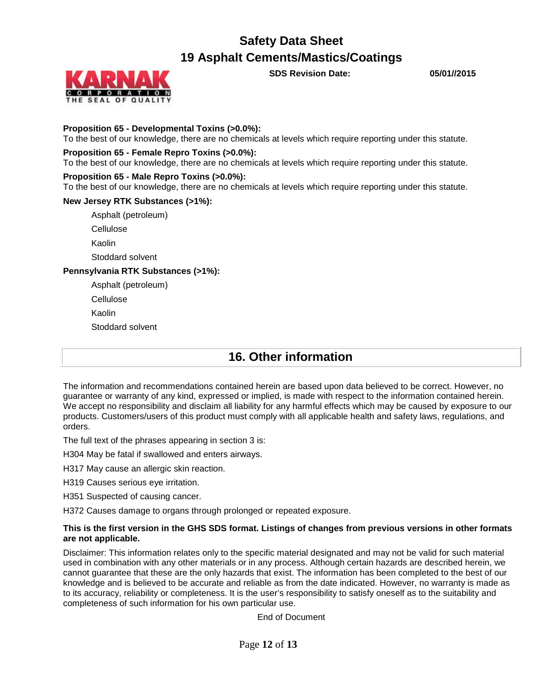

**SDS Revision Date: 05/01//2015**

### **Proposition 65 - Developmental Toxins (>0.0%):**

To the best of our knowledge, there are no chemicals at levels which require reporting under this statute.

### **Proposition 65 - Female Repro Toxins (>0.0%):**

To the best of our knowledge, there are no chemicals at levels which require reporting under this statute.

#### **Proposition 65 - Male Repro Toxins (>0.0%):**

To the best of our knowledge, there are no chemicals at levels which require reporting under this statute.

### **New Jersey RTK Substances (>1%):**

Asphalt (petroleum)

Cellulose

Kaolin

Stoddard solvent

### **Pennsylvania RTK Substances (>1%):**

Asphalt (petroleum)

Cellulose

Kaolin

Stoddard solvent

### **16. Other information**

The information and recommendations contained herein are based upon data believed to be correct. However, no guarantee or warranty of any kind, expressed or implied, is made with respect to the information contained herein. We accept no responsibility and disclaim all liability for any harmful effects which may be caused by exposure to our products. Customers/users of this product must comply with all applicable health and safety laws, regulations, and orders.

The full text of the phrases appearing in section 3 is:

H304 May be fatal if swallowed and enters airways.

H317 May cause an allergic skin reaction.

H319 Causes serious eye irritation.

H351 Suspected of causing cancer.

H372 Causes damage to organs through prolonged or repeated exposure.

#### **This is the first version in the GHS SDS format. Listings of changes from previous versions in other formats are not applicable.**

Disclaimer: This information relates only to the specific material designated and may not be valid for such material used in combination with any other materials or in any process. Although certain hazards are described herein, we cannot guarantee that these are the only hazards that exist. The information has been completed to the best of our knowledge and is believed to be accurate and reliable as from the date indicated. However, no warranty is made as to its accuracy, reliability or completeness. It is the user's responsibility to satisfy oneself as to the suitability and completeness of such information for his own particular use.

End of Document